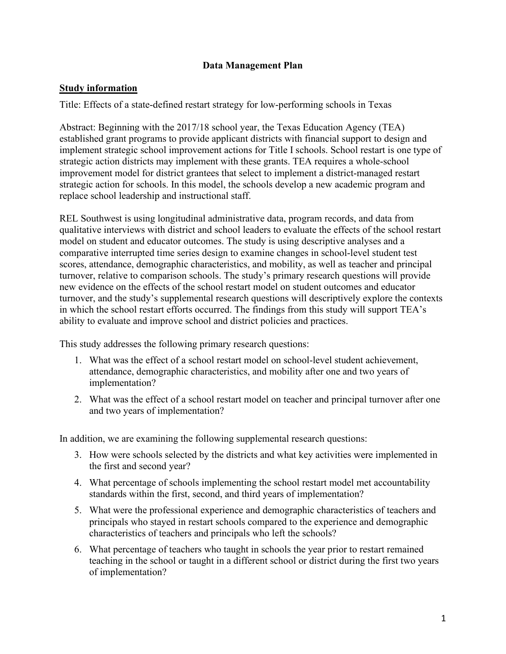## **Data Management Plan**

## **Study information**

Title: Effects of a state-defined restart strategy for low-performing schools in Texas

Abstract: Beginning with the 2017/18 school year, the Texas Education Agency (TEA) established grant programs to provide applicant districts with financial support to design and implement strategic school improvement actions for Title I schools. School restart is one type of strategic action districts may implement with these grants. TEA requires a whole-school improvement model for district grantees that select to implement a district-managed restart strategic action for schools. In this model, the schools develop a new academic program and replace school leadership and instructional staff.

REL Southwest is using longitudinal administrative data, program records, and data from qualitative interviews with district and school leaders to evaluate the effects of the school restart model on student and educator outcomes. The study is using descriptive analyses and a comparative interrupted time series design to examine changes in school-level student test scores, attendance, demographic characteristics, and mobility, as well as teacher and principal turnover, relative to comparison schools. The study's primary research questions will provide new evidence on the effects of the school restart model on student outcomes and educator turnover, and the study's supplemental research questions will descriptively explore the contexts in which the school restart efforts occurred. The findings from this study will support TEA's ability to evaluate and improve school and district policies and practices.

This study addresses the following primary research questions:

- 1. What was the effect of a school restart model on school-level student achievement, attendance, demographic characteristics, and mobility after one and two years of implementation?
- 2. What was the effect of a school restart model on teacher and principal turnover after one and two years of implementation?

In addition, we are examining the following supplemental research questions:

- 3. How were schools selected by the districts and what key activities were implemented in the first and second year?
- 4. What percentage of schools implementing the school restart model met accountability standards within the first, second, and third years of implementation?
- 5. What were the professional experience and demographic characteristics of teachers and principals who stayed in restart schools compared to the experience and demographic characteristics of teachers and principals who left the schools?
- 6. What percentage of teachers who taught in schools the year prior to restart remained teaching in the school or taught in a different school or district during the first two years of implementation?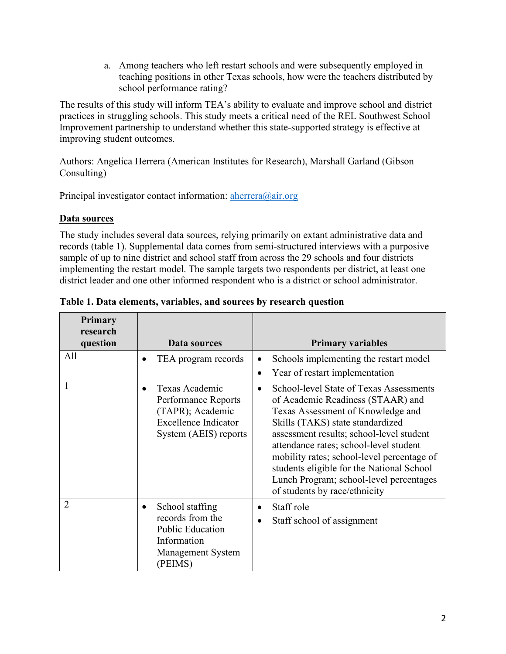a. Among teachers who left restart schools and were subsequently employed in teaching positions in other Texas schools, how were the teachers distributed by school performance rating?

The results of this study will inform TEA's ability to evaluate and improve school and district practices in struggling schools. This study meets a critical need of the REL Southwest School Improvement partnership to understand whether this state-supported strategy is effective at improving student outcomes.

Authors: Angelica Herrera (American Institutes for Research), Marshall Garland (Gibson Consulting)

Principal investigator contact information:  $\arctan(\omega_a)$  air.org

# **Data sources**

The study includes several data sources, relying primarily on extant administrative data and records (table 1). Supplemental data comes from semi-structured interviews with a purposive sample of up to nine district and school staff from across the 29 schools and four districts implementing the restart model. The sample targets two respondents per district, at least one district leader and one other informed respondent who is a district or school administrator.

| <b>Primary</b><br>research |                                                                                                                                |                                                                                                                                                                                                                                                                                                                                                                                                                                 |
|----------------------------|--------------------------------------------------------------------------------------------------------------------------------|---------------------------------------------------------------------------------------------------------------------------------------------------------------------------------------------------------------------------------------------------------------------------------------------------------------------------------------------------------------------------------------------------------------------------------|
| question<br>All            | Data sources                                                                                                                   | <b>Primary variables</b>                                                                                                                                                                                                                                                                                                                                                                                                        |
|                            | TEA program records<br>$\bullet$                                                                                               | Schools implementing the restart model                                                                                                                                                                                                                                                                                                                                                                                          |
|                            |                                                                                                                                | Year of restart implementation<br>$\bullet$                                                                                                                                                                                                                                                                                                                                                                                     |
|                            | Texas Academic<br>$\bullet$<br>Performance Reports<br>(TAPR); Academic<br><b>Excellence Indicator</b><br>System (AEIS) reports | School-level State of Texas Assessments<br>$\bullet$<br>of Academic Readiness (STAAR) and<br>Texas Assessment of Knowledge and<br>Skills (TAKS) state standardized<br>assessment results; school-level student<br>attendance rates; school-level student<br>mobility rates; school-level percentage of<br>students eligible for the National School<br>Lunch Program; school-level percentages<br>of students by race/ethnicity |
| $\overline{2}$             | School staffing<br>$\bullet$<br>records from the<br><b>Public Education</b><br>Information<br>Management System                | Staff role<br>$\bullet$<br>Staff school of assignment                                                                                                                                                                                                                                                                                                                                                                           |
|                            | (PEIMS)                                                                                                                        |                                                                                                                                                                                                                                                                                                                                                                                                                                 |

**Table 1. Data elements, variables, and sources by research question**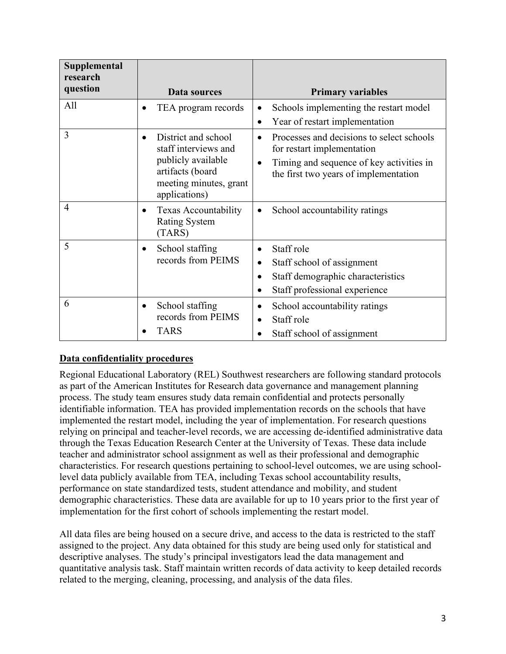| Supplemental<br>research<br>question | Data sources                                                                                                                                  | <b>Primary variables</b>                                                                                                                                     |
|--------------------------------------|-----------------------------------------------------------------------------------------------------------------------------------------------|--------------------------------------------------------------------------------------------------------------------------------------------------------------|
| All                                  | TEA program records<br>$\bullet$                                                                                                              | Schools implementing the restart model<br>Year of restart implementation<br>$\bullet$                                                                        |
| 3                                    | District and school<br>$\bullet$<br>staff interviews and<br>publicly available<br>artifacts (board<br>meeting minutes, grant<br>applications) | Processes and decisions to select schools<br>for restart implementation<br>Timing and sequence of key activities in<br>the first two years of implementation |
| $\overline{4}$                       | <b>Texas Accountability</b><br>$\bullet$<br><b>Rating System</b><br>(TARS)                                                                    | School accountability ratings<br>$\bullet$                                                                                                                   |
| 5                                    | School staffing<br>$\bullet$<br>records from PEIMS                                                                                            | Staff role<br>$\bullet$<br>Staff school of assignment<br>Staff demographic characteristics<br>Staff professional experience<br>$\bullet$                     |
| 6                                    | School staffing<br>$\bullet$<br>records from PEIMS<br><b>TARS</b>                                                                             | School accountability ratings<br>Staff role<br>Staff school of assignment                                                                                    |

# **Data confidentiality procedures**

Regional Educational Laboratory (REL) Southwest researchers are following standard protocols as part of the American Institutes for Research data governance and management planning process. The study team ensures study data remain confidential and protects personally identifiable information. TEA has provided implementation records on the schools that have implemented the restart model, including the year of implementation. For research questions relying on principal and teacher-level records, we are accessing de-identified administrative data through the Texas Education Research Center at the University of Texas. These data include teacher and administrator school assignment as well as their professional and demographic characteristics. For research questions pertaining to school-level outcomes, we are using schoollevel data publicly available from TEA, including Texas school accountability results, performance on state standardized tests, student attendance and mobility, and student demographic characteristics. These data are available for up to 10 years prior to the first year of implementation for the first cohort of schools implementing the restart model.

All data files are being housed on a secure drive, and access to the data is restricted to the staff assigned to the project. Any data obtained for this study are being used only for statistical and descriptive analyses. The study's principal investigators lead the data management and quantitative analysis task. Staff maintain written records of data activity to keep detailed records related to the merging, cleaning, processing, and analysis of the data files.